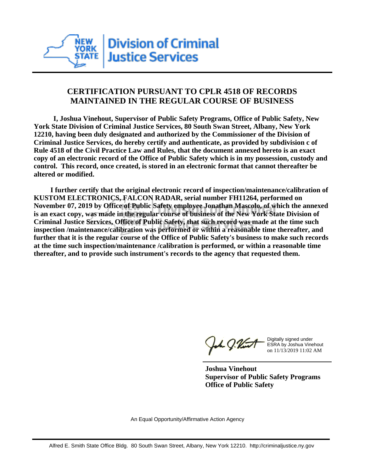

## **CERTIFICATION PURSUANT TO CPLR 4518 OF RECORDS MAINTAINED IN THE REGULAR COURSE OF BUSINESS**

 **I, Joshua Vinehout, Supervisor of Public Safety Programs, Office of Public Safety, New York State Division of Criminal Justice Services, 80 South Swan Street, Albany, New York 12210, having been duly designated and authorized by the Commissioner of the Division of Criminal Justice Services, do hereby certify and authenticate, as provided by subdivision c of Rule 4518 of the Civil Practice Law and Rules, that the document annexed hereto is an exact copy of an electronic record of the Office of Public Safety which is in my possession, custody and control. This record, once created, is stored in an electronic format that cannot thereafter be altered or modified.**

 **I further certify that the original electronic record of inspection/maintenance/calibration of KUSTOM ELECTRONICS, FALCON RADAR, serial number FH11264, performed on November 07, 2019 by Office of Public Safety employee Jonathan Mascolo, of which the annexed is an exact copy, was made in the regular course of business of the New York State Division of Criminal Justice Services, Office of Public Safety, that such record was made at the time such inspection /maintenance/calibration was performed or within a reasonable time thereafter, and further that it is the regular course of the Office of Public Safety's business to make such records at the time such inspection/maintenance /calibration is performed, or within a reasonable time thereafter, and to provide such instrument's records to the agency that requested them.**

the g. Vint

Digitally signed under ESRA by Joshua Vinehout on 11/13/2019 11:02 AM

**Joshua Vinehout Supervisor of Public Safety Programs Office of Public Safety**

An Equal Opportunity/Affirmative Action Agency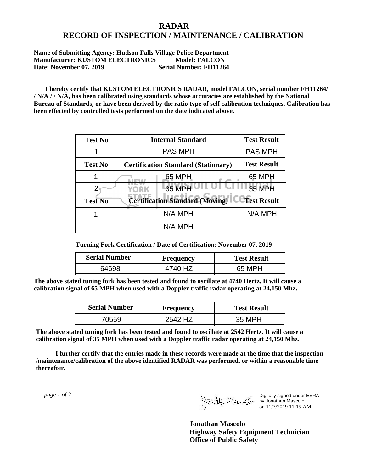## **RADAR RECORD OF INSPECTION / MAINTENANCE / CALIBRATION**

**Name of Submitting Agency: Hudson Falls Village Police Department Manufacturer: KUSTOM ELECTRONICS Model: FALCON**<br>Date: November 07. 2019 Serial Number: FH11264 **Date: November 07, 2019** 

 **I hereby certify that KUSTOM ELECTRONICS RADAR, model FALCON, serial number FH11264/ / N/A / / N/A, has been calibrated using standards whose accuracies are established by the National Bureau of Standards, or have been derived by the ratio type of self calibration techniques. Calibration has been effected by controlled tests performed on the date indicated above.**

| <b>Test No</b> | <b>Internal Standard</b>                   | <b>Test Result</b> |
|----------------|--------------------------------------------|--------------------|
|                | <b>PAS MPH</b>                             | <b>PAS MPH</b>     |
| <b>Test No</b> | <b>Certification Standard (Stationary)</b> | <b>Test Result</b> |
|                | 65 MPH                                     | 65 MPH             |
|                | 35 MPH<br><b>YORK</b>                      | <b>35 MPH</b>      |
| <b>Test No</b> | <b>Certification Standard (Moving)</b>     | <b>Test Result</b> |
|                | N/A MPH                                    | N/A MPH            |
|                | N/A MPH                                    |                    |

**Turning Fork Certification / Date of Certification: November 07, 2019**

| <b>Serial Number</b> | <b>Frequency</b> | <b>Test Result</b> |
|----------------------|------------------|--------------------|
| 64698                | 47               | 65 MPH             |

**The above stated tuning fork has been tested and found to oscillate at 4740 Hertz. It will cause a calibration signal of 65 MPH when used with a Doppler traffic radar operating at 24,150 Mhz.**

| <b>Serial Number</b> | Frequency | <b>Test Result</b> |
|----------------------|-----------|--------------------|
| 70559                | 2542 HZ   | 35 MPH             |

**The above stated tuning fork has been tested and found to oscillate at 2542 Hertz. It will cause a calibration signal of 35 MPH when used with a Doppler traffic radar operating at 24,150 Mhz.**

 **I further certify that the entries made in these records were made at the time that the inspection /maintenance/calibration of the above identified RADAR was performed, or within a reasonable time thereafter.**

 *page 1 of 2* 

Digitally signed under ESRA by Jonathan Mascolo on 11/7/2019 11:15 AM

**Jonathan Mascolo Highway Safety Equipment Technician Office of Public Safety**

**\_\_\_\_\_\_\_\_\_\_\_\_\_\_\_\_\_\_\_\_\_\_\_\_\_\_\_\_\_\_\_\_\_\_\_\_\_**